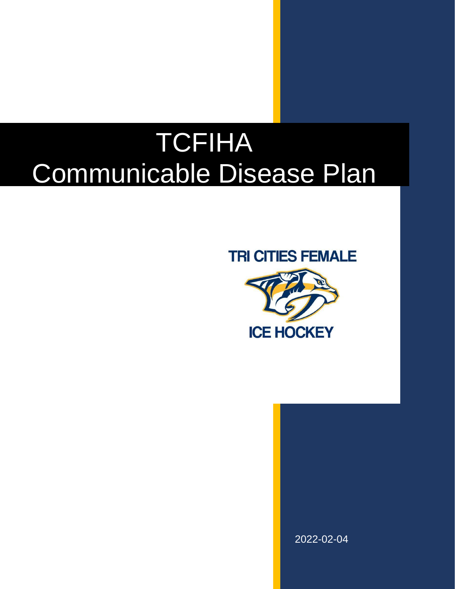# TCFIHA Communicable Disease Plan

## **TRI CITIES FEMALE**



2022-02-04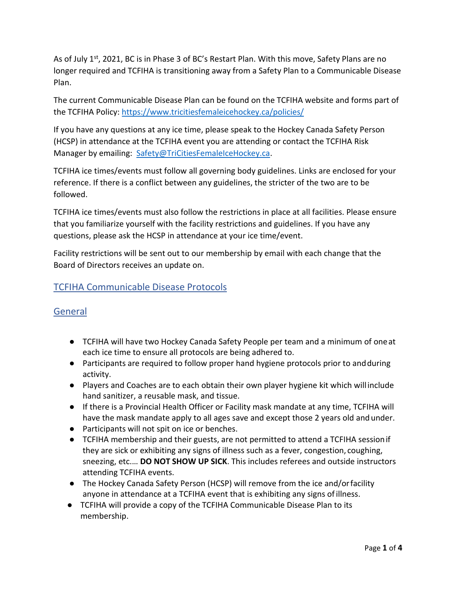As of July 1<sup>st</sup>, 2021, BC is in Phase 3 of BC's Restart Plan. With this move, Safety Plans are no longer required and TCFIHA is transitioning away from a Safety Plan to a Communicable Disease Plan.

The current Communicable Disease Plan can be found on the TCFIHA website and forms part of the TCFIHA Policy:<https://www.tricitiesfemaleicehockey.ca/policies/>

If you have any questions at any ice time, please speak to the Hockey Canada Safety Person (HCSP) in attendance at the TCFIHA event you are attending or contact the TCFIHA Risk Manager by emailing: [Safety@TriCitiesFemaleIceHockey.ca.](mailto:Safety@TriCitiesFemaleIceHockey.ca)

TCFIHA ice times/events must follow all governing body guidelines. Links are enclosed for your reference. If there is a conflict between any guidelines, the stricter of the two are to be followed.

TCFIHA ice times/events must also follow the restrictions in place at all facilities. Please ensure that you familiarize yourself with the facility restrictions and guidelines. If you have any questions, please ask the HCSP in attendance at your ice time/event.

Facility restrictions will be sent out to our membership by email with each change that the Board of Directors receives an update on.

#### TCFIHA Communicable Disease Protocols

#### General

- TCFIHA will have two Hockey Canada Safety People per team and a minimum of oneat each ice time to ensure all protocols are being adhered to.
- Participants are required to follow proper hand hygiene protocols prior to andduring activity.
- Players and Coaches are to each obtain their own player hygiene kit which willinclude hand sanitizer, a reusable mask, and tissue.
- If there is a Provincial Health Officer or Facility mask mandate at any time, TCFIHA will have the mask mandate apply to all ages save and except those 2 years old and under.
- Participants will not spit on ice or benches.
- TCFIHA membership and their guests, are not permitted to attend a TCFIHA sessionif they are sick or exhibiting any signs of illness such as a fever, congestion, coughing, sneezing, etc.… **DO NOT SHOW UP SICK**. This includes referees and outside instructors attending TCFIHA events.
- The Hockey Canada Safety Person (HCSP) will remove from the ice and/orfacility anyone in attendance at a TCFIHA event that is exhibiting any signs ofillness.
- TCFIHA will provide a copy of the TCFIHA Communicable Disease Plan to its membership.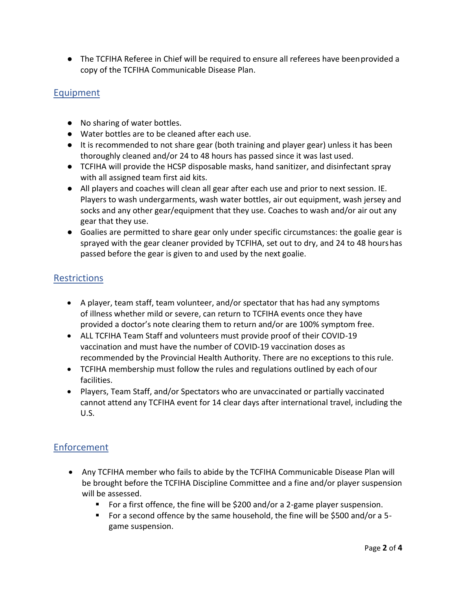● The TCFIHA Referee in Chief will be required to ensure all referees have beenprovided a copy of the TCFIHA Communicable Disease Plan.

### Equipment

- No sharing of water bottles.
- Water bottles are to be cleaned after each use.
- It is recommended to not share gear (both training and player gear) unless it has been thoroughly cleaned and/or 24 to 48 hours has passed since it was last used.
- TCFIHA will provide the HCSP disposable masks, hand sanitizer, and disinfectant spray with all assigned team first aid kits.
- All players and coaches will clean all gear after each use and prior to next session. IE. Players to wash undergarments, wash water bottles, air out equipment, wash jersey and socks and any other gear/equipment that they use. Coaches to wash and/or air out any gear that they use.
- Goalies are permitted to share gear only under specific circumstances: the goalie gear is sprayed with the gear cleaner provided by TCFIHA, set out to dry, and 24 to 48 hourshas passed before the gear is given to and used by the next goalie.

#### Restrictions

- A player, team staff, team volunteer, and/or spectator that has had any symptoms of illness whether mild or severe, can return to TCFIHA events once they have provided a doctor's note clearing them to return and/or are 100% symptom free.
- ALL TCFIHA Team Staff and volunteers must provide proof of their COVID-19 vaccination and must have the number of COVID-19 vaccination doses as recommended by the Provincial Health Authority. There are no exceptions to thisrule.
- TCFIHA membership must follow the rules and regulations outlined by each ofour facilities.
- Players, Team Staff, and/or Spectators who are unvaccinated or partially vaccinated cannot attend any TCFIHA event for 14 clear days after international travel, including the U.S.

#### Enforcement

- Any TCFIHA member who fails to abide by the TCFIHA Communicable Disease Plan will be brought before the TCFIHA Discipline Committee and a fine and/or player suspension will be assessed.
	- For a first offence, the fine will be \$200 and/or a 2-game player suspension.
	- For a second offence by the same household, the fine will be \$500 and/or a 5 game suspension.